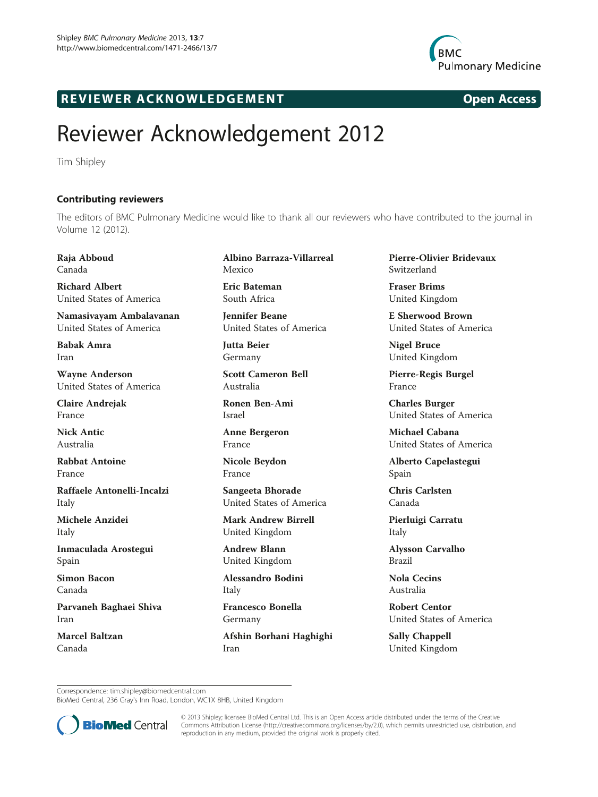

## R EVI EW E R ACKNOW L EDG EM EN T Open Access

## Reviewer Acknowledgement 2012

Tim Shipley

Contributing reviewers The editors of BMC Pulmonary Medicine would like to thank all our reviewers who have contributed to the journal in Volume 12 (2012).

Raja Abboud Canada

Richard Albert United States of America

Namasivayam Ambalavanan United States of America

Babak Amra Iran

Wayne Anderson United States of America

Claire Andrejak France

Nick Antic Australia

Rabbat Antoine France

Raffaele Antonelli-Incalzi Italy

Michele Anzidei Italy

Inmaculada Arostegui Spain

Simon Bacon Canada

Parvaneh Baghaei Shiva Iran

Marcel Baltzan Canada

Albino Barraza-Villarreal Mexico

Eric Bateman South Africa

Jennifer Beane United States of America

Jutta Beier Germany

Scott Cameron Bell Australia

Ronen Ben-Ami Israel

Anne Bergeron France

Nicole Beydon France

Sangeeta Bhorade United States of America

Mark Andrew Birrell United Kingdom

Andrew Blann United Kingdom

Alessandro Bodini Italy

Francesco Bonella Germany

Afshin Borhani Haghighi Iran

Pierre-Olivier Bridevaux Switzerland

Fraser Brims United Kingdom

E Sherwood Brown United States of America

Nigel Bruce United Kingdom

Pierre-Regis Burgel France

Charles Burger United States of America

Michael Cabana United States of America

Alberto Capelastegui Spain

Chris Carlsten Canada

Pierluigi Carratu Italy

Alysson Carvalho Brazil

Nola Cecins Australia

Robert Centor United States of America

Sally Chappell United Kingdom

Correspondence: [tim.shipley@biomedcentral.com](mailto:tim.shipley@biomedcentral.com)

BioMed Central, 236 Gray's Inn Road, London, WC1X 8HB, United Kingdom



© 2013 Shipley; licensee BioMed Central Ltd. This is an Open Access article distributed under the terms of the Creative Commons Attribution License [\(http://creativecommons.org/licenses/by/2.0\)](http://creativecommons.org/licenses/by/2.0), which permits unrestricted use, distribution, and reproduction in any medium, provided the original work is properly cited.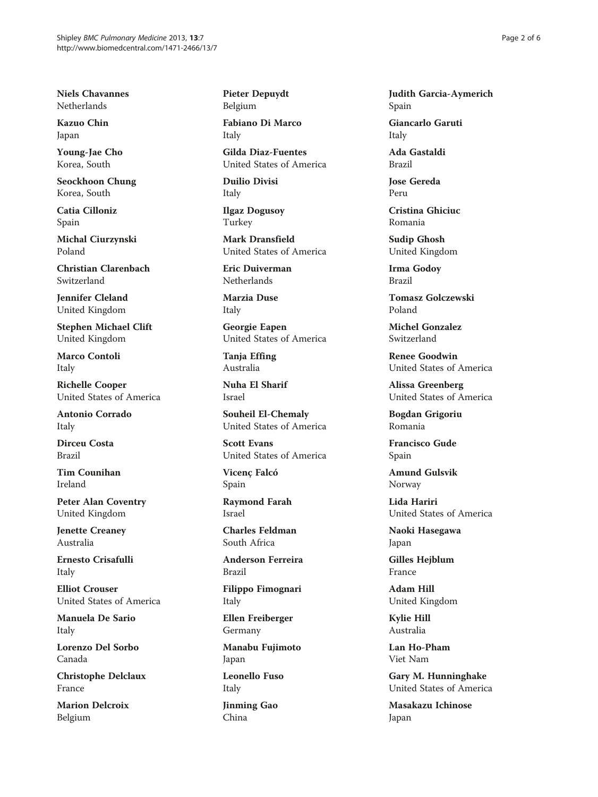Niels Chavannes Netherlands

Kazuo Chin Japan

Young-Jae Cho Korea, South

Seockhoon Chung Korea, South

Catia Cilloniz Spain

Michal Ciurzynski Poland

Christian Clarenbach Switzerland

Jennifer Cleland United Kingdom

Stephen Michael Clift United Kingdom

Marco Contoli Italy

Richelle Cooper United States of America

Antonio Corrado Italy

Dirceu Costa Brazil

Tim Counihan Ireland

Peter Alan Coventry United Kingdom

Jenette Creaney Australia

Ernesto Crisafulli Italy

Elliot Crouser United States of America

Manuela De Sario Italy

Lorenzo Del Sorbo Canada

Christophe Delclaux France

Marion Delcroix Belgium

Pieter Depuydt Belgium

Fabiano Di Marco Italy

Gilda Diaz-Fuentes United States of America

Duilio Divisi Italy

Ilgaz Dogusoy Turkey

Mark Dransfield United States of America

Eric Duiverman Netherlands

Marzia Duse Italy

Georgie Eapen United States of America

Tanja Effing Australia

Nuha El Sharif Israel

Souheil El-Chemaly United States of America

Scott Evans United States of America

Vicenç Falcó Spain

Raymond Farah Israel

Charles Feldman South Africa

Anderson Ferreira Brazil

Filippo Fimognari Italy

Ellen Freiberger Germany

Manabu Fujimoto Japan

Leonello Fuso Italy

Jinming Gao China

Judith Garcia-Aymerich Spain

Giancarlo Garuti Italy

Ada Gastaldi Brazil

Jose Gereda Peru

Cristina Ghiciuc Romania

Sudip Ghosh United Kingdom

Irma Godoy Brazil

Tomasz Golczewski Poland

Michel Gonzalez Switzerland

Renee Goodwin United States of America

Alissa Greenberg United States of America

Bogdan Grigoriu Romania

Francisco Gude Spain

Amund Gulsvik Norway

Lida Hariri United States of America

Naoki Hasegawa Japan

Gilles Hejblum France

Adam Hill United Kingdom

Kylie Hill Australia

Lan Ho-Pham Viet Nam

Gary M. Hunninghake United States of America

Masakazu Ichinose Japan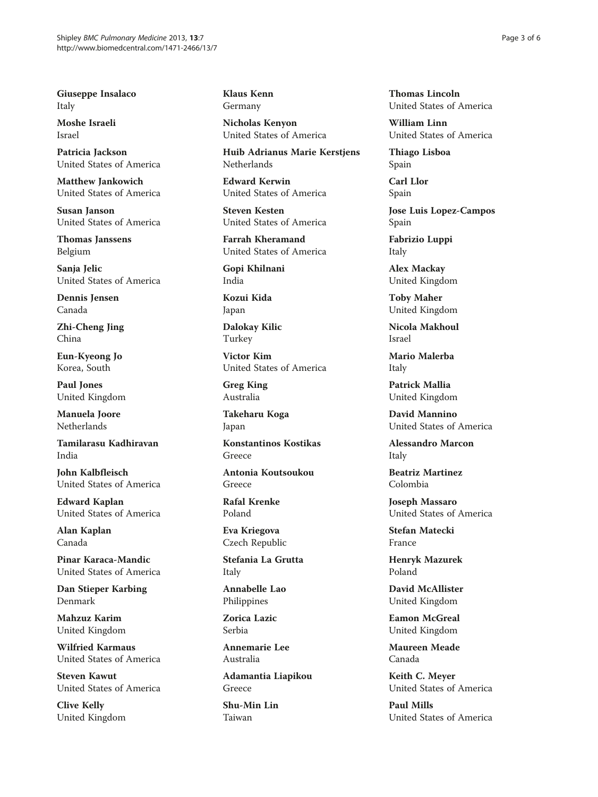Giuseppe Insalaco Italy

Moshe Israeli Israel

Patricia Jackson United States of America

Matthew Jankowich United States of America

Susan Janson United States of America

Thomas Janssens Belgium

Sanja Jelic United States of America

Dennis Jensen Canada

Zhi-Cheng Jing China

Eun-Kyeong Jo Korea, South

Paul Jones United Kingdom

Manuela Joore Netherlands

Tamilarasu Kadhiravan India

John Kalbfleisch United States of America

Edward Kaplan United States of America

Alan Kaplan Canada

Pinar Karaca-Mandic United States of America

Dan Stieper Karbing Denmark

Mahzuz Karim United Kingdom

Wilfried Karmaus United States of America

Steven Kawut United States of America

Clive Kelly United Kingdom Klaus Kenn Germany

Nicholas Kenyon United States of America

Huib Adrianus Marie Kerstjens Netherlands

Edward Kerwin United States of America

Steven Kesten United States of America

Farrah Kheramand United States of America

Gopi Khilnani India

Kozui Kida Japan

Dalokay Kilic Turkey

Victor Kim United States of America

Greg King Australia

Takeharu Koga Japan

Konstantinos Kostikas Greece

Antonia Koutsoukou Greece

Rafal Krenke Poland

Eva Kriegova Czech Republic

Stefania La Grutta Italy

Annabelle Lao Philippines

Zorica Lazic Serbia

Annemarie Lee Australia

Adamantia Liapikou Greece

Shu-Min Lin Taiwan

Thomas Lincoln United States of America

William Linn United States of America

Thiago Lisboa Spain

Carl Llor Spain

Jose Luis Lopez-Campos Spain

Fabrizio Luppi Italy

Alex Mackay United Kingdom

Toby Maher United Kingdom

Nicola Makhoul Israel

Mario Malerba Italy

Patrick Mallia United Kingdom

David Mannino United States of America

Alessandro Marcon Italy

Beatriz Martinez Colombia

Joseph Massaro United States of America

Stefan Matecki France

Henryk Mazurek Poland

David McAllister United Kingdom

Eamon McGreal United Kingdom

Maureen Meade Canada

Keith C. Meyer United States of America

Paul Mills United States of America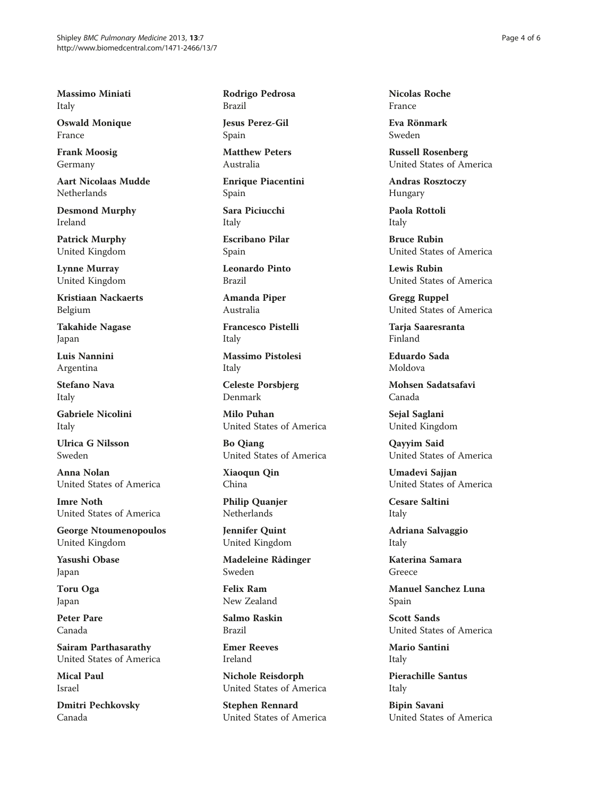Massimo Miniati Italy

Oswald Monique France

Frank Moosig Germany

Aart Nicolaas Mudde Netherlands

Desmond Murphy Ireland

Patrick Murphy United Kingdom

Lynne Murray United Kingdom

Kristiaan Nackaerts Belgium

Takahide Nagase Japan

Luis Nannini Argentina

Stefano Nava Italy

Gabriele Nicolini Italy

Ulrica G Nilsson Sweden

Anna Nolan United States of America

Imre Noth United States of America

George Ntoumenopoulos United Kingdom

Yasushi Obase Japan

Toru Oga Japan

Peter Pare Canada

Sairam Parthasarathy United States of America

Mical Paul Israel

Dmitri Pechkovsky Canada

Rodrigo Pedrosa Brazil

Jesus Perez-Gil Spain

Matthew Peters Australia

Enrique Piacentini Spain

Sara Piciucchi Italy

Escribano Pilar Spain

Leonardo Pinto Brazil

Amanda Piper Australia

Francesco Pistelli Italy

Massimo Pistolesi Italy

Celeste Porsbjerg Denmark

Milo Puhan United States of America

Bo Qiang United States of America

Xiaoqun Qin China

Philip Quanjer Netherlands

Jennifer Quint United Kingdom

Madeleine Rådinger Sweden

Felix Ram New Zealand

Salmo Raskin Brazil

Emer Reeves Ireland

Nichole Reisdorph United States of America

Stephen Rennard United States of America Nicolas Roche France

Eva Rönmark Sweden

Russell Rosenberg United States of America

Andras Rosztoczy Hungary

Paola Rottoli Italy

Bruce Rubin United States of America

Lewis Rubin United States of America

Gregg Ruppel United States of America

Taria Saaresranta Finland

Eduardo Sada Moldova

Mohsen Sadatsafavi Canada

Sejal Saglani United Kingdom

Qayyim Said United States of America

Umadevi Sajjan United States of America

Cesare Saltini Italy

Adriana Salvaggio Italy

Katerina Samara Greece

Manuel Sanchez Luna Spain

Scott Sands United States of America

Mario Santini Italy

Pierachille Santus Italy

Bipin Savani United States of America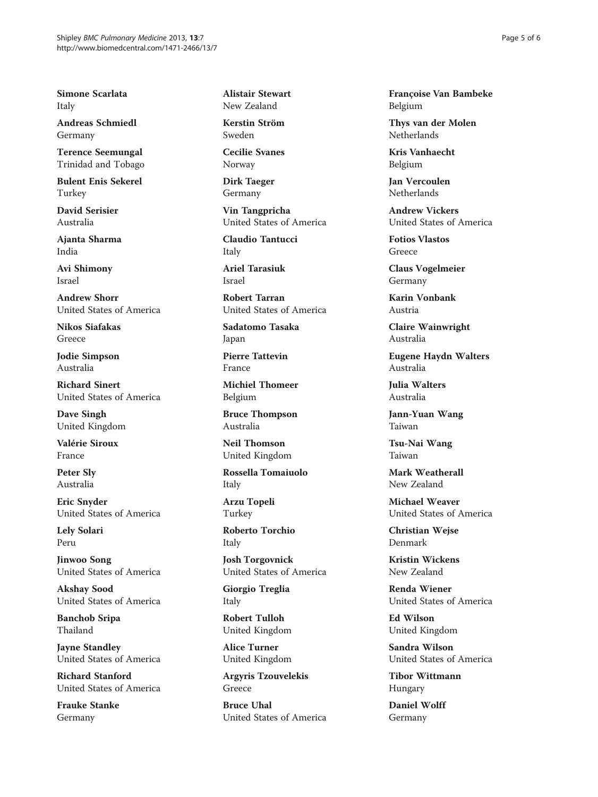Simone Scarlata Italy

Andreas Schmiedl Germany

Terence Seemungal Trinidad and Tobago

Bulent Enis Sekerel Turkey

David Serisier Australia

Ajanta Sharma India

Avi Shimony Israel

Andrew Shorr United States of America

Nikos Siafakas Greece

Jodie Simpson Australia

Richard Sinert United States of America

Dave Singh United Kingdom

Valérie Siroux France

Peter Sly Australia

Eric Snyder United States of America

Lely Solari Peru

Jinwoo Song United States of America

Akshay Sood United States of America

Banchob Sripa Thailand

Jayne Standley United States of America

Richard Stanford United States of America

Frauke Stanke Germany

Alistair Stewart New Zealand

Kerstin Ström Sweden

Cecilie Svanes Norway

Dirk Taeger Germany

Vin Tangpricha United States of America

Claudio Tantucci Italy

Ariel Tarasiuk Israel

Robert Tarran United States of America

Sadatomo Tasaka Japan

Pierre Tattevin France

Michiel Thomeer Belgium

Bruce Thompson Australia

Neil Thomson United Kingdom

Rossella Tomaiuolo Italy

Arzu Topeli Turkey

Roberto Torchio Italy

Josh Torgovnick United States of America

Giorgio Treglia Italy

Robert Tulloh United Kingdom

Alice Turner United Kingdom

Argyris Tzouvelekis Greece

Bruce Uhal United States of America Françoise Van Bambeke Belgium

Thys van der Molen Netherlands

Kris Vanhaecht Belgium

Jan Vercoulen Netherlands

Andrew Vickers United States of America

Fotios Vlastos Greece

Claus Vogelmeier Germany

Karin Vonbank Austria

Claire Wainwright Australia

Eugene Haydn Walters Australia

Julia Walters Australia

Jann-Yuan Wang Taiwan

Tsu-Nai Wang Taiwan

Mark Weatherall New Zealand

Michael Weaver United States of America

Christian Wejse Denmark

Kristin Wickens New Zealand

Renda Wiener United States of America

Ed Wilson United Kingdom

Sandra Wilson United States of America

Tibor Wittmann Hungary

Daniel Wolff Germany